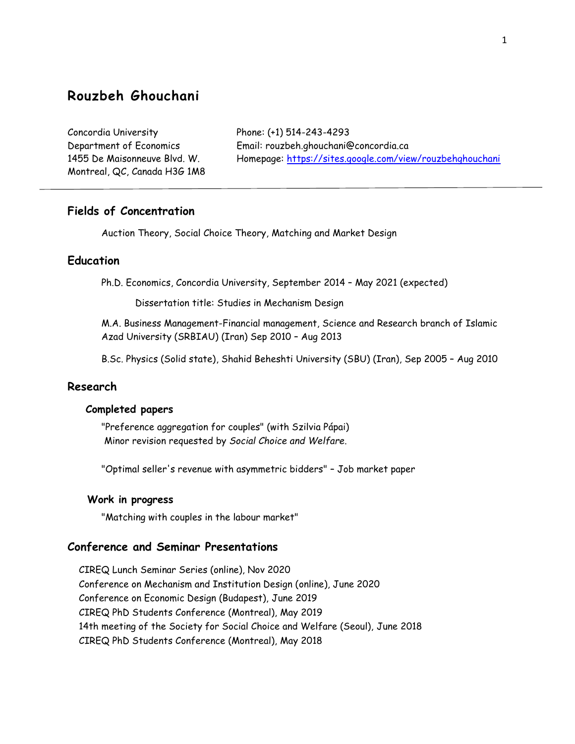# **Rouzbeh Ghouchani**

Concordia University Phone: (+1) 514-243-4293 Montreal, QC, Canada H3G 1M8

Department of Economics Email: rouzbeh.ghouchani@concordia.ca 1455 De Maisonneuve Blvd. W. Homepage: [https://sites.google.com/view/rouzbehghouchani](about:blank)

## **Fields of Concentration**

Auction Theory, Social Choice Theory, Matching and Market Design

## **Education**

Ph.D. Economics, Concordia University, September 2014 – May 2021 (expected)

Dissertation title: Studies in Mechanism Design

M.A. Business Management-Financial management, Science and Research branch of Islamic Azad University (SRBIAU) (Iran) Sep 2010 – Aug 2013

B.Sc. Physics (Solid state), Shahid Beheshti University (SBU) (Iran), Sep 2005 – Aug 2010

## **Research**

## **Completed papers**

"Preference aggregation for couples" (with Szilvia Pápai) Minor revision requested by *Social Choice and Welfare*.

"Optimal seller's revenue with asymmetric bidders" – Job market paper

#### **Work in progress**

"Matching with couples in the labour market"

### **Conference and Seminar Presentations**

 CIREQ Lunch Seminar Series (online), Nov 2020 Conference on Mechanism and Institution Design (online), June 2020 Conference on Economic Design (Budapest), June 2019 CIREQ PhD Students Conference (Montreal), May 2019 14th meeting of the Society for Social Choice and Welfare (Seoul), June 2018 CIREQ PhD Students Conference (Montreal), May 2018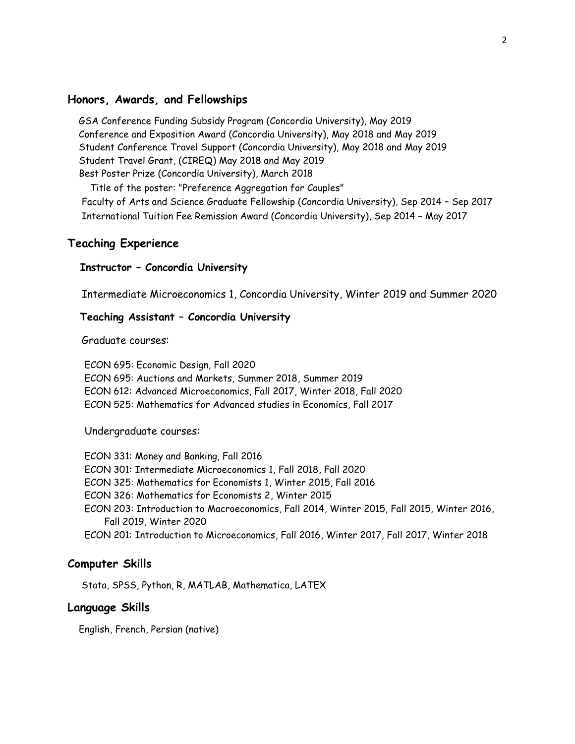### **Honors, Awards, and Fellowships**

 GSA Conference Funding Subsidy Program (Concordia University), May 2019 Conference and Exposition Award (Concordia University), May 2018 and May 2019 Student Conference Travel Support (Concordia University), May 2018 and May 2019 Student Travel Grant, (CIREQ) May 2018 and May 2019 Best Poster Prize (Concordia University), March 2018

 Title of the poster: "Preference Aggregation for Couples" Faculty of Arts and Science Graduate Fellowship (Concordia University), Sep 2014 – Sep 2017 International Tuition Fee Remission Award (Concordia University), Sep 2014 – May 2017

## **Teaching Experience**

#### **Instructor – Concordia University**

Intermediate Microeconomics 1, Concordia University, Winter 2019 and Summer 2020

#### **Teaching Assistant – Concordia University**

Graduate courses:

 ECON 695: Economic Design, Fall 2020 ECON 695: Auctions and Markets, Summer 2018, Summer 2019 ECON 612: Advanced Microeconomics, Fall 2017, Winter 2018, Fall 2020 ECON 525: Mathematics for Advanced studies in Economics, Fall 2017

Undergraduate courses:

 ECON 331: Money and Banking, Fall 2016 ECON 301: Intermediate Microeconomics 1, Fall 2018, Fall 2020 ECON 325: Mathematics for Economists 1, Winter 2015, Fall 2016 ECON 326: Mathematics for Economists 2, Winter 2015 ECON 203: Introduction to Macroeconomics, Fall 2014, Winter 2015, Fall 2015, Winter 2016, Fall 2019, Winter 2020 ECON 201: Introduction to Microeconomics, Fall 2016, Winter 2017, Fall 2017, Winter 2018

#### **Computer Skills**

Stata, SPSS, Python, R, MATLAB, Mathematica, LATEX

#### **Language Skills**

English, French, Persian (native)